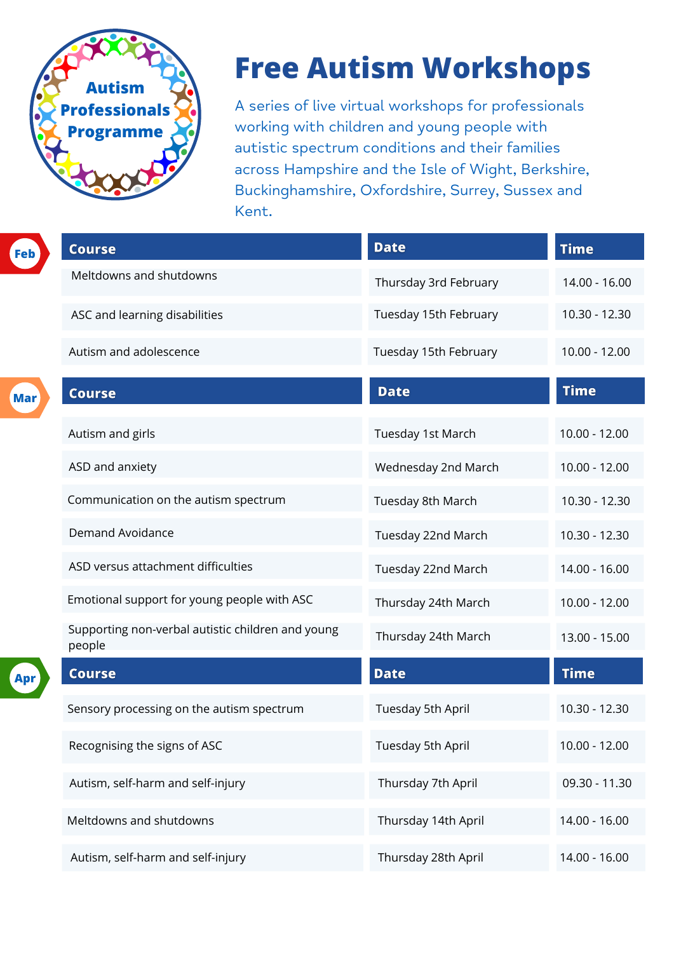

| Feb | <b>Course</b>                 | <b>Date</b>                  | <b>Time</b>     |
|-----|-------------------------------|------------------------------|-----------------|
|     | Meltdowns and shutdowns       | Thursday 3rd February        | 14.00 - 16.00   |
|     | ASC and learning disabilities | <b>Tuesday 15th February</b> | $10.30 - 12.30$ |

A series of live virtual workshops for professionals working with children and young people with autistic spectrum conditions and their families across Hampshire and the Isle of Wight, Berkshire, Buckinghamshire, Oxfordshire, Surrey, Sussex and Kent.

# **Free Autism Workshops**

| Apr | <b>Course</b>                             | <b>Date</b>              | <b>Time</b>     |
|-----|-------------------------------------------|--------------------------|-----------------|
|     | Sensory processing on the autism spectrum | <b>Tuesday 5th April</b> | $10.30 - 12.30$ |
|     | Recognising the signs of ASC              | <b>Tuesday 5th April</b> | $10.00 - 12.00$ |
|     | Autism, self-harm and self-injury         | Thursday 7th April       | 09.30 - 11.30   |
|     | Meltdowns and shutdowns                   | Thursday 14th April      | 14.00 - 16.00   |
|     | Autism, self-harm and self-injury         | Thursday 28th April      | 14.00 - 16.00   |

|     | Autism and adolescence                                      | Tuesday 15th February      | $10.00 - 12.00$ |
|-----|-------------------------------------------------------------|----------------------------|-----------------|
| Mar | <b>Course</b>                                               | <b>Date</b>                | <b>Time</b>     |
|     | <b>Autism and girls</b>                                     | <b>Tuesday 1st March</b>   | $10.00 - 12.00$ |
|     | ASD and anxiety                                             | <b>Wednesday 2nd March</b> | $10.00 - 12.00$ |
|     | Communication on the autism spectrum                        | <b>Tuesday 8th March</b>   | 10.30 - 12.30   |
|     | <b>Demand Avoidance</b>                                     | Tuesday 22nd March         | $10.30 - 12.30$ |
|     | ASD versus attachment difficulties                          | <b>Tuesday 22nd March</b>  | 14.00 - 16.00   |
|     | Emotional support for young people with ASC                 | Thursday 24th March        | $10.00 - 12.00$ |
|     | Supporting non-verbal autistic children and young<br>people | Thursday 24th March        | 13.00 - 15.00   |